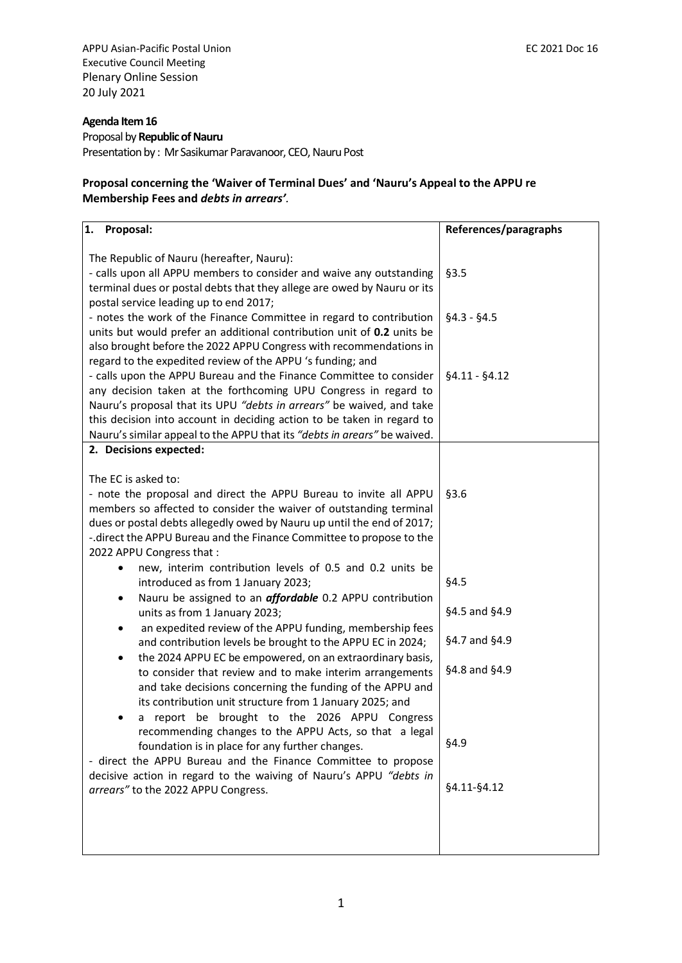APPU Asian-Pacific Postal Union **EC 2021 Doc 16** Executive Council Meeting Plenary Online Session 20 July 2021

# **Agenda Item 16**

Proposal by **Republic of Nauru** Presentation by : Mr Sasikumar Paravanoor, CEO, Nauru Post

## **Proposal concerning the 'Waiver of Terminal Dues' and 'Nauru's Appeal to the APPU re Membership Fees and** *debts in arrears'.*

| 1. Proposal:                                                                                                                                                                                                                                                                                                                                                        | References/paragraphs |
|---------------------------------------------------------------------------------------------------------------------------------------------------------------------------------------------------------------------------------------------------------------------------------------------------------------------------------------------------------------------|-----------------------|
| The Republic of Nauru (hereafter, Nauru):<br>- calls upon all APPU members to consider and waive any outstanding<br>terminal dues or postal debts that they allege are owed by Nauru or its<br>postal service leading up to end 2017;                                                                                                                               | §3.5                  |
| - notes the work of the Finance Committee in regard to contribution<br>units but would prefer an additional contribution unit of 0.2 units be<br>also brought before the 2022 APPU Congress with recommendations in<br>regard to the expedited review of the APPU 's funding; and                                                                                   | $§4.3 - §4.5$         |
| - calls upon the APPU Bureau and the Finance Committee to consider<br>any decision taken at the forthcoming UPU Congress in regard to<br>Nauru's proposal that its UPU "debts in arrears" be waived, and take<br>this decision into account in deciding action to be taken in regard to<br>Nauru's similar appeal to the APPU that its "debts in arears" be waived. | $§4.11 - §4.12$       |
| 2. Decisions expected:                                                                                                                                                                                                                                                                                                                                              |                       |
| The EC is asked to:<br>- note the proposal and direct the APPU Bureau to invite all APPU<br>members so affected to consider the waiver of outstanding terminal<br>dues or postal debts allegedly owed by Nauru up until the end of 2017;<br>-. direct the APPU Bureau and the Finance Committee to propose to the<br>2022 APPU Congress that:                       | §3.6                  |
| new, interim contribution levels of 0.5 and 0.2 units be<br>introduced as from 1 January 2023;                                                                                                                                                                                                                                                                      | §4.5                  |
| Nauru be assigned to an <i>affordable</i> 0.2 APPU contribution<br>٠<br>units as from 1 January 2023;                                                                                                                                                                                                                                                               | §4.5 and §4.9         |
| an expedited review of the APPU funding, membership fees<br>$\bullet$<br>and contribution levels be brought to the APPU EC in 2024;                                                                                                                                                                                                                                 | §4.7 and §4.9         |
| the 2024 APPU EC be empowered, on an extraordinary basis,<br>٠<br>to consider that review and to make interim arrangements<br>and take decisions concerning the funding of the APPU and<br>its contribution unit structure from 1 January 2025; and<br>a report be brought to the 2026 APPU Congress<br>٠                                                           | §4.8 and §4.9         |
| recommending changes to the APPU Acts, so that a legal<br>foundation is in place for any further changes.<br>- direct the APPU Bureau and the Finance Committee to propose                                                                                                                                                                                          | §4.9                  |
| decisive action in regard to the waiving of Nauru's APPU "debts in<br>arrears" to the 2022 APPU Congress.                                                                                                                                                                                                                                                           | §4.11-§4.12           |
|                                                                                                                                                                                                                                                                                                                                                                     |                       |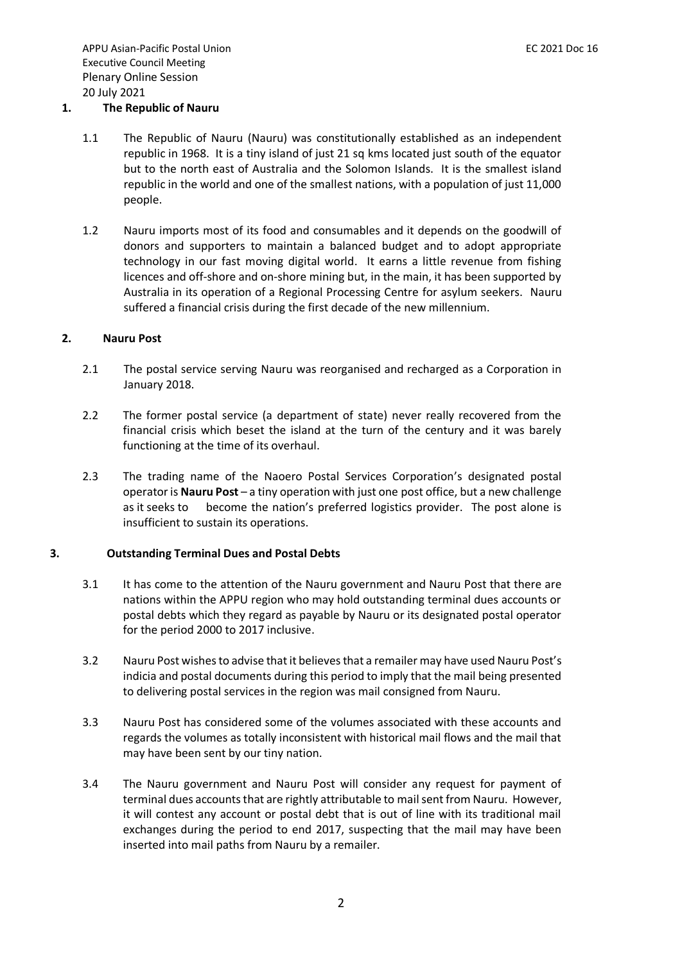## **1. The Republic of Nauru**

- 1.1 The Republic of Nauru (Nauru) was constitutionally established as an independent republic in 1968. It is a tiny island of just 21 sq kms located just south of the equator but to the north east of Australia and the Solomon Islands. It is the smallest island republic in the world and one of the smallest nations, with a population of just 11,000 people.
- 1.2 Nauru imports most of its food and consumables and it depends on the goodwill of donors and supporters to maintain a balanced budget and to adopt appropriate technology in our fast moving digital world. It earns a little revenue from fishing licences and off-shore and on-shore mining but, in the main, it has been supported by Australia in its operation of a Regional Processing Centre for asylum seekers. Nauru suffered a financial crisis during the first decade of the new millennium.

#### **2. Nauru Post**

- 2.1 The postal service serving Nauru was reorganised and recharged as a Corporation in January 2018.
- 2.2 The former postal service (a department of state) never really recovered from the financial crisis which beset the island at the turn of the century and it was barely functioning at the time of its overhaul.
- 2.3 The trading name of the Naoero Postal Services Corporation's designated postal operator is **Nauru Post** – a tiny operation with just one post office, but a new challenge as it seeks to become the nation's preferred logistics provider. The post alone is insufficient to sustain its operations.

## **3. Outstanding Terminal Dues and Postal Debts**

- 3.1 It has come to the attention of the Nauru government and Nauru Post that there are nations within the APPU region who may hold outstanding terminal dues accounts or postal debts which they regard as payable by Nauru or its designated postal operator for the period 2000 to 2017 inclusive.
- 3.2 Nauru Post wishes to advise that it believes that a remailer may have used Nauru Post's indicia and postal documents during this period to imply that the mail being presented to delivering postal services in the region was mail consigned from Nauru.
- 3.3 Nauru Post has considered some of the volumes associated with these accounts and regards the volumes as totally inconsistent with historical mail flows and the mail that may have been sent by our tiny nation.
- 3.4 The Nauru government and Nauru Post will consider any request for payment of terminal dues accounts that are rightly attributable to mail sent from Nauru. However, it will contest any account or postal debt that is out of line with its traditional mail exchanges during the period to end 2017, suspecting that the mail may have been inserted into mail paths from Nauru by a remailer.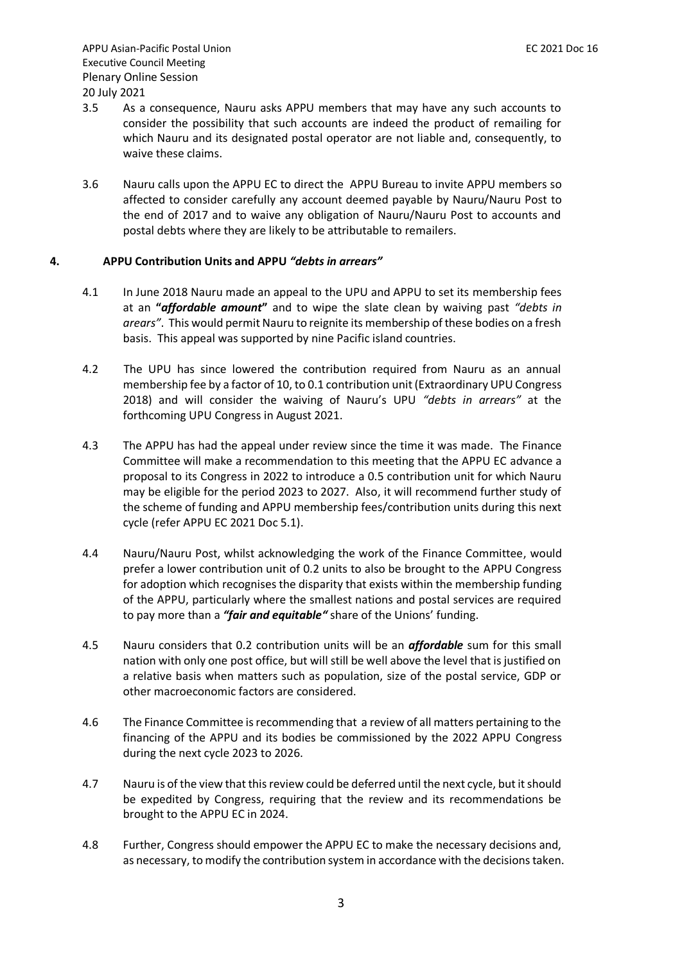- 3.5 As a consequence, Nauru asks APPU members that may have any such accounts to consider the possibility that such accounts are indeed the product of remailing for which Nauru and its designated postal operator are not liable and, consequently, to waive these claims.
- 3.6 Nauru calls upon the APPU EC to direct the APPU Bureau to invite APPU members so affected to consider carefully any account deemed payable by Nauru/Nauru Post to the end of 2017 and to waive any obligation of Nauru/Nauru Post to accounts and postal debts where they are likely to be attributable to remailers.

## **4. APPU Contribution Units and APPU** *"debts in arrears"*

- 4.1 In June 2018 Nauru made an appeal to the UPU and APPU to set its membership fees at an **"***affordable amount***"** and to wipe the slate clean by waiving past *"debts in arears"*. This would permit Nauru to reignite its membership of these bodies on a fresh basis. This appeal was supported by nine Pacific island countries.
- 4.2 The UPU has since lowered the contribution required from Nauru as an annual membership fee by a factor of 10, to 0.1 contribution unit (Extraordinary UPU Congress 2018) and will consider the waiving of Nauru's UPU *"debts in arrears"* at the forthcoming UPU Congress in August 2021.
- 4.3 The APPU has had the appeal under review since the time it was made. The Finance Committee will make a recommendation to this meeting that the APPU EC advance a proposal to its Congress in 2022 to introduce a 0.5 contribution unit for which Nauru may be eligible for the period 2023 to 2027. Also, it will recommend further study of the scheme of funding and APPU membership fees/contribution units during this next cycle (refer APPU EC 2021 Doc 5.1).
- 4.4 Nauru/Nauru Post, whilst acknowledging the work of the Finance Committee, would prefer a lower contribution unit of 0.2 units to also be brought to the APPU Congress for adoption which recognises the disparity that exists within the membership funding of the APPU, particularly where the smallest nations and postal services are required to pay more than a *"fair and equitable"* share of the Unions' funding.
- 4.5 Nauru considers that 0.2 contribution units will be an *affordable* sum for this small nation with only one post office, but will still be well above the level that is justified on a relative basis when matters such as population, size of the postal service, GDP or other macroeconomic factors are considered.
- 4.6 The Finance Committee is recommending that a review of all matters pertaining to the financing of the APPU and its bodies be commissioned by the 2022 APPU Congress during the next cycle 2023 to 2026.
- 4.7 Nauru is of the view that this review could be deferred until the next cycle, but it should be expedited by Congress, requiring that the review and its recommendations be brought to the APPU EC in 2024.
- 4.8 Further, Congress should empower the APPU EC to make the necessary decisions and, as necessary, to modify the contribution system in accordance with the decisions taken.